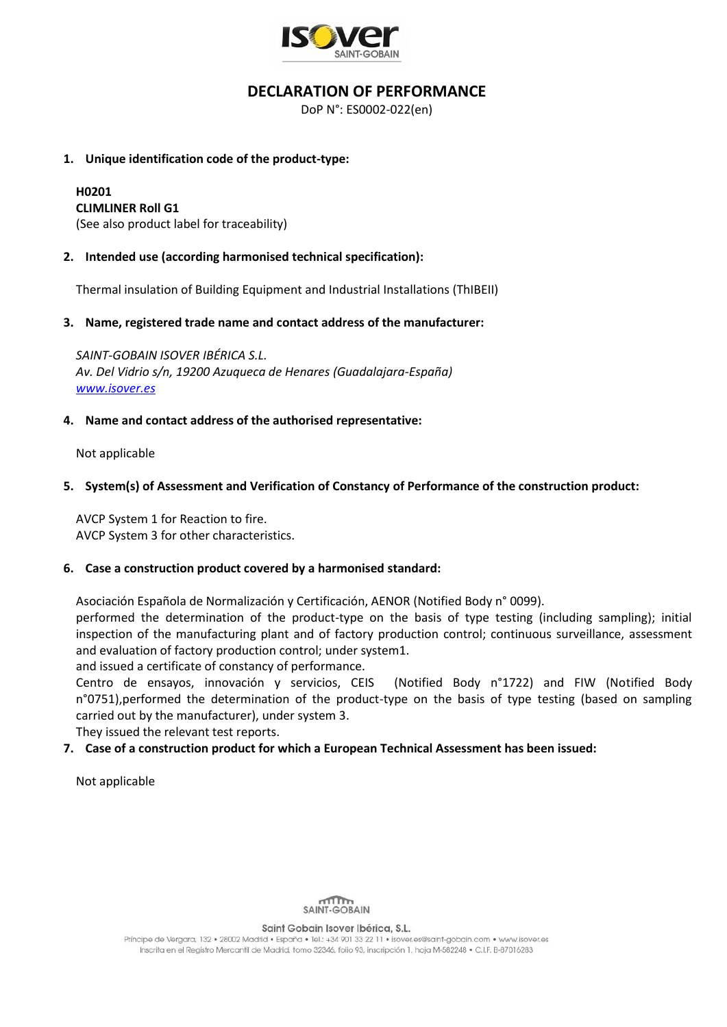

## **DECLARATION OF PERFORMANCE**

DoP N°: ES0002-022(en)

### **1. Unique identification code of the product-type:**

# **H0201**

**CLIMLINER Roll G1** (See also product label for traceability)

## **2. Intended use (according harmonised technical specification):**

Thermal insulation of Building Equipment and Industrial Installations (ThIBEII)

### **3. Name, registered trade name and contact address of the manufacturer:**

*SAINT-GOBAIN ISOVER IBÉRICA S.L. Av. Del Vidrio s/n, 19200 Azuqueca de Henares (Guadalajara-España) [www.isover.es](http://www.isover.es/)*

## **4. Name and contact address of the authorised representative:**

Not applicable

## **5. System(s) of Assessment and Verification of Constancy of Performance of the construction product:**

AVCP System 1 for Reaction to fire. AVCP System 3 for other characteristics.

#### **6. Case a construction product covered by a harmonised standard:**

Asociación Española de Normalización y Certificación, AENOR (Notified Body n° 0099).

performed the determination of the product-type on the basis of type testing (including sampling); initial inspection of the manufacturing plant and of factory production control; continuous surveillance, assessment and evaluation of factory production control; under system1.

and issued a certificate of constancy of performance.

Centro de ensayos, innovación y servicios, CEIS (Notified Body n°1722) and FIW (Notified Body n°0751),performed the determination of the product-type on the basis of type testing (based on sampling carried out by the manufacturer), under system 3.

They issued the relevant test reports.

## **7. Case of a construction product for which a European Technical Assessment has been issued:**

Not applicable



Saint Gobain Isover Ibérica, S.L.

Príncipe de Vergara, 132 · 28002 Madrid · España · Tel.: +34 901 33 22 11 · isover.es@saint-aobain.com · www.isover.es Inscrita en el Registro Mercantil de Madrid, tomo 32346, folio 93, inscripción 1, hoja M-582248 · C.I.F. B-87016283